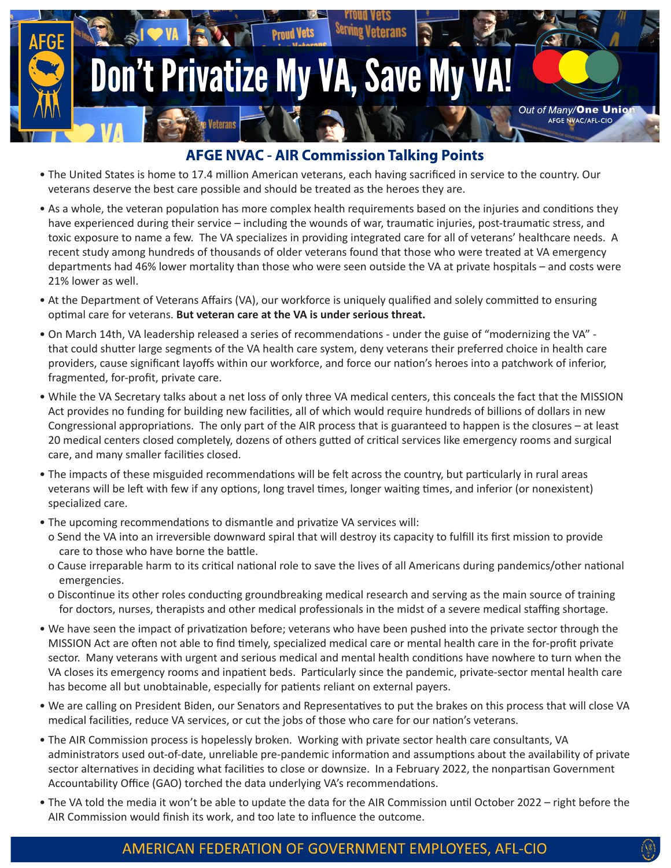

## **AFGE NVAC - AIR Commission Talking Points**

- The United States is home to 17.4 million American veterans, each having sacrificed in service to the country. Our veterans deserve the best care possible and should be treated as the heroes they are.
- As a whole, the veteran population has more complex health requirements based on the injuries and conditions they have experienced during their service – including the wounds of war, traumatic injuries, post-traumatic stress, and toxic exposure to name a few. The VA specializes in providing integrated care for all of veterans' healthcare needs. A recent study among hundreds of thousands of older veterans found that those who were treated at VA emergency departments had 46% lower mortality than those who were seen outside the VA at private hospitals – and costs were 21% lower as well.
- At the Department of Veterans Affairs (VA), our workforce is uniquely qualified and solely committed to ensuring optimal care for veterans. **But veteran care at the VA is under serious threat.**
- On March 14th, VA leadership released a series of recommendations under the guise of "modernizing the VA" that could shutter large segments of the VA health care system, deny veterans their preferred choice in health care providers, cause significant layoffs within our workforce, and force our nation's heroes into a patchwork of inferior, fragmented, for-profit, private care.
- While the VA Secretary talks about a net loss of only three VA medical centers, this conceals the fact that the MISSION Act provides no funding for building new facilities, all of which would require hundreds of billions of dollars in new Congressional appropriations. The only part of the AIR process that is guaranteed to happen is the closures – at least 20 medical centers closed completely, dozens of others gutted of critical services like emergency rooms and surgical care, and many smaller facilities closed.
- The impacts of these misguided recommendations will be felt across the country, but particularly in rural areas veterans will be left with few if any options, long travel times, longer waiting times, and inferior (or nonexistent) specialized care.
- The upcoming recommendations to dismantle and privatize VA services will:
- o Send the VA into an irreversible downward spiral that will destroy its capacity to fulfill its first mission to provide care to those who have borne the battle.
- o Cause irreparable harm to its critical national role to save the lives of all Americans during pandemics/other national emergencies.
- o Discontinue its other roles conducting groundbreaking medical research and serving as the main source of training for doctors, nurses, therapists and other medical professionals in the midst of a severe medical staffing shortage.
- We have seen the impact of privatization before; veterans who have been pushed into the private sector through the MISSION Act are often not able to find timely, specialized medical care or mental health care in the for-profit private sector. Many veterans with urgent and serious medical and mental health conditions have nowhere to turn when the VA closes its emergency rooms and inpatient beds. Particularly since the pandemic, private-sector mental health care has become all but unobtainable, especially for patients reliant on external payers.
- We are calling on President Biden, our Senators and Representatives to put the brakes on this process that will close VA medical facilities, reduce VA services, or cut the jobs of those who care for our nation's veterans.
- The AIR Commission process is hopelessly broken. Working with private sector health care consultants, VA administrators used out-of-date, unreliable pre-pandemic information and assumptions about the availability of private sector alternatives in deciding what facilities to close or downsize. In a February 2022, the nonpartisan Government Accountability Office (GAO) torched the data underlying VA's recommendations.
- The VA told the media it won't be able to update the data for the AIR Commission until October 2022 right before the AIR Commission would finish its work, and too late to influence the outcome.

### AMERICAN FEDERATION OF GOVERNMENT EMPLOYEES, AFL-CIO